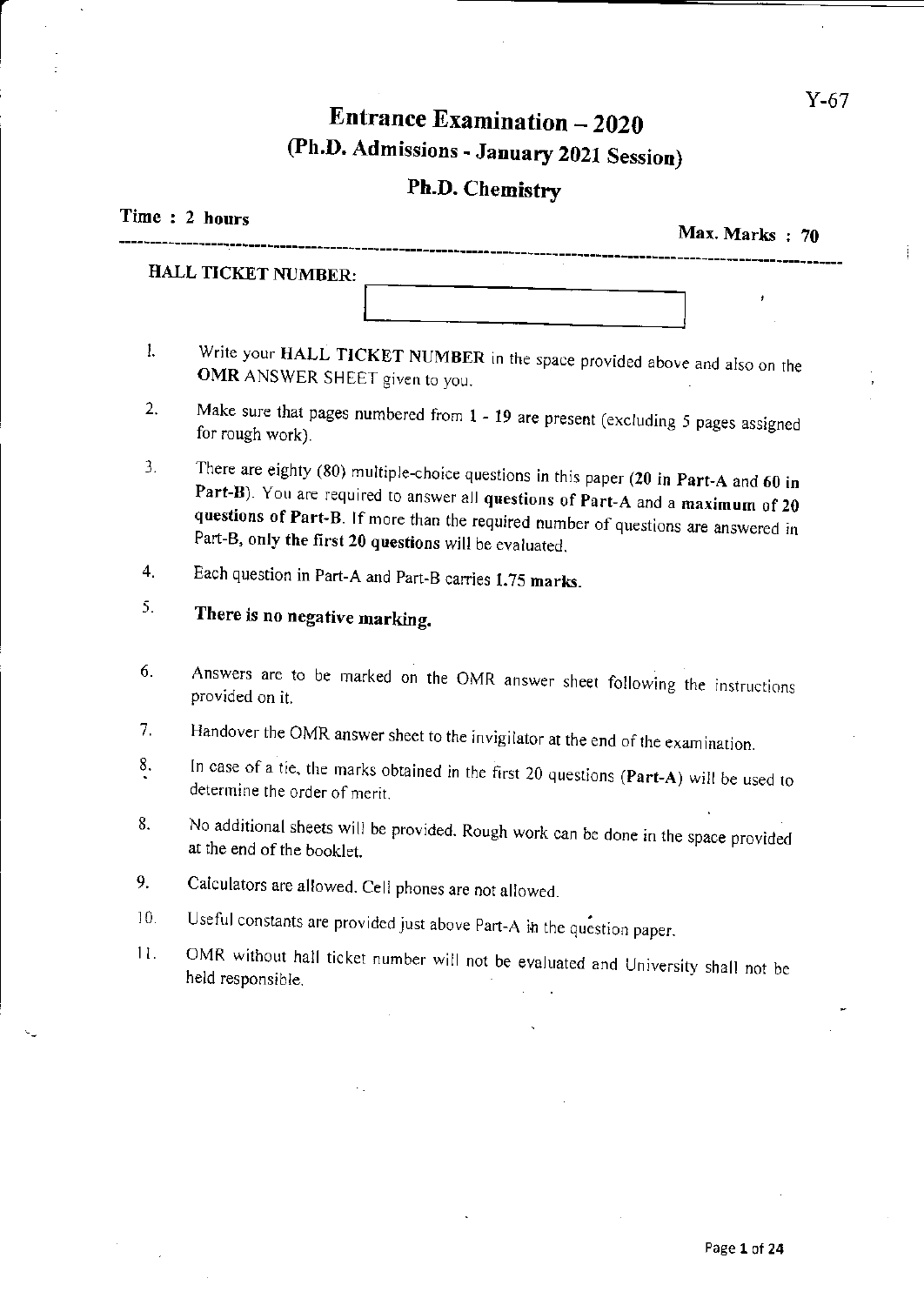Ť

# Entrance Examination - 2020 @h.D. Admissions - January 2021 Session)

# ph.D. Chemistry

|     | Time : 2 hours<br>Max. Marks: 70                                                                                                                                                                                                                                                                                         |
|-----|--------------------------------------------------------------------------------------------------------------------------------------------------------------------------------------------------------------------------------------------------------------------------------------------------------------------------|
|     | HALL TICKET NUMBER:                                                                                                                                                                                                                                                                                                      |
|     |                                                                                                                                                                                                                                                                                                                          |
| 1.  | Write your HALL TICKET NUMBER in the space provided above and also on the<br>OMR ANSWER SHEET given to you.                                                                                                                                                                                                              |
| 2.  | Make sure that pages numbered from 1 - 19 are present (excluding 5 pages assigned<br>for rough work).                                                                                                                                                                                                                    |
| 3.  | There are eighty (80) multiple-choice questions in this paper (20 in Part-A and 60 in<br>Part-B). You are required to answer all questions of Part-A and a maximum of 20<br>questions of Part-B. If more than the required number of questions are answered in<br>Part-B, only the first 20 questions will be evaluated. |
| 4.  | Each question in Part-A and Part-B carries 1.75 marks.                                                                                                                                                                                                                                                                   |
| 5.  | There is no negative marking.                                                                                                                                                                                                                                                                                            |
| 6.  | Answers are to be marked on the OMR answer sheet following the instructions<br>provided on it.                                                                                                                                                                                                                           |
| 7.  | Handover the OMR answer sheet to the invigilator at the end of the examination.                                                                                                                                                                                                                                          |
| 8.  | In case of a tie, the marks obtained in the first 20 questions (Part-A) will be used to<br>determine the order of merit.                                                                                                                                                                                                 |
| 8.  | No additional sheets will be provided. Rough work can be done in the space provided<br>at the end of the booklet.                                                                                                                                                                                                        |
| 9.  | Calculators are allowed. Cell phones are not allowed.                                                                                                                                                                                                                                                                    |
| 10. | Useful constants are provided just above Part-A in the question paper.                                                                                                                                                                                                                                                   |
| 11. | OMR without hall ticket number will not be evaluated and University shall not be<br>held responsible.                                                                                                                                                                                                                    |
|     |                                                                                                                                                                                                                                                                                                                          |
|     |                                                                                                                                                                                                                                                                                                                          |
|     | н.                                                                                                                                                                                                                                                                                                                       |
|     |                                                                                                                                                                                                                                                                                                                          |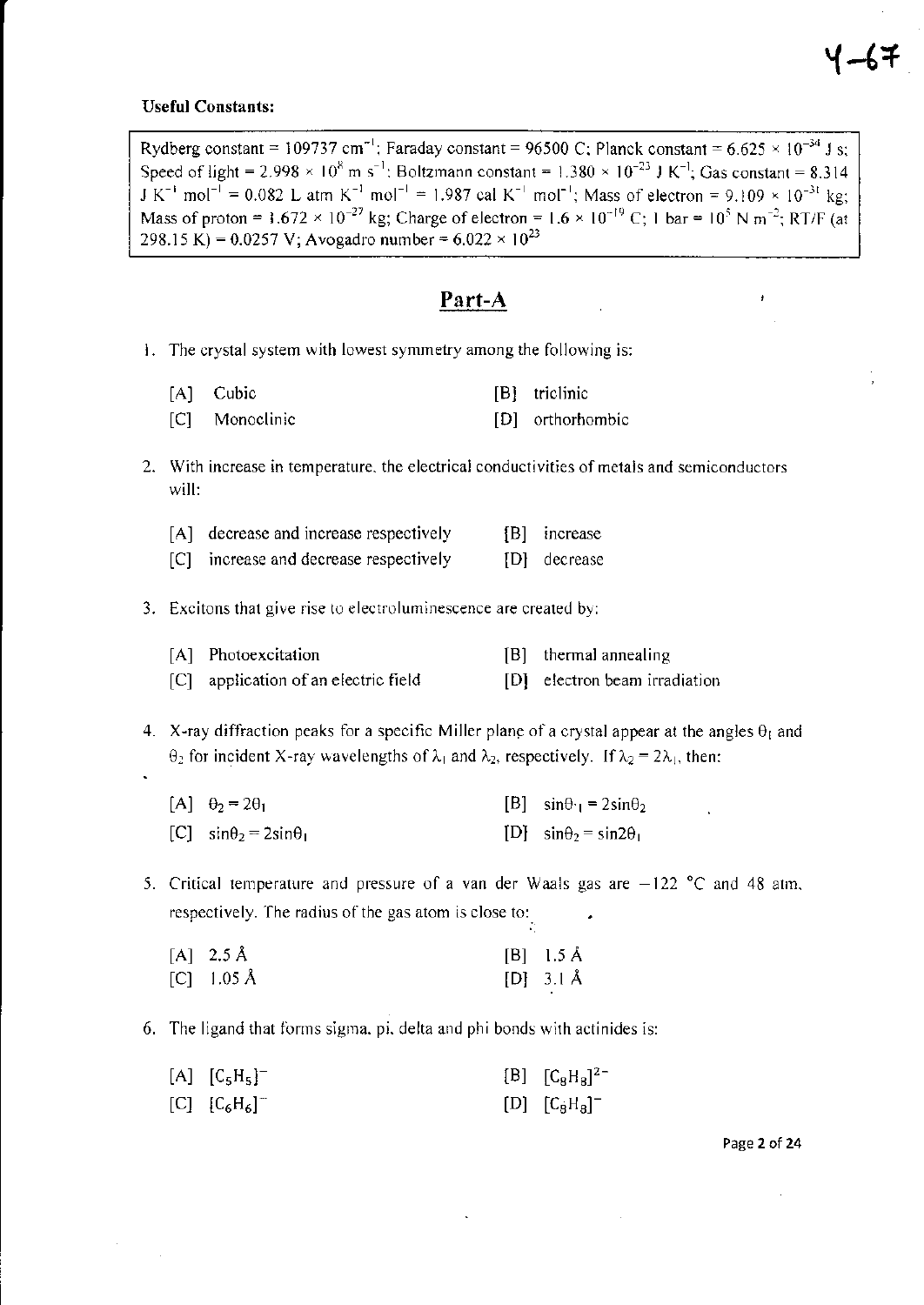#### **Useful Constants:**

Rydberg constant = 109737 cm<sup>-1</sup>; Faraday constant = 96500 C; Planck constant = 6.625 × 10<sup>-34</sup> J s; Speed of light = 2.998 × 10<sup>8</sup> m s<sup>-1</sup>; Boltzmann constant = 1.380 × 10<sup>-23</sup> J K<sup>-1</sup>; Gas constant = 8.314  $J K^{-1}$  mol<sup>-1</sup> = 0.082 L atm K<sup>-1</sup> mol<sup>-1</sup> = 1.987 cal K<sup>-1</sup> mol<sup>-1</sup>; Mass of electron = 9.109 × 10<sup>-3t</sup> kg; Mass of proton = 1.672 × 10<sup>-27</sup> kg; Charge of electron = 1.6 × 10<sup>-19</sup> C; 1 bar = 10<sup>5</sup> N m<sup>-2</sup>; RT/F (at 298.15 K) = 0.0257 V; Avogadro number =  $6.022 \times 10^{23}$ 

### Part-A

- i. The crystal system with lowest symmetry among the following is:
	- Cubic [B] triclinic  $[A]$  $|C|$ Monoclinic [D] orthorhombic
- 2. With increase in temperature, the electrical conductivities of metals and semiconductors will:

|  | [A] decrease and increase respectively |  |  |  | [B] increase |
|--|----------------------------------------|--|--|--|--------------|
|--|----------------------------------------|--|--|--|--------------|

[C] increase and decrease respectively [D] decrease

3. Excitons that give rise to electroluminescence are created by:

| [A] Photoexcitation                  | $[B]$ thermal annealing       |
|--------------------------------------|-------------------------------|
| [C] application of an electric field | [D] electron beam irradiation |

- 4. X-ray diffraction peaks for a specific Miller plane of a crystal appear at the angles  $\theta_1$  and  $\theta_2$  for incident X-ray wavelengths of  $\lambda_1$  and  $\lambda_2$ , respectively. If  $\lambda_2 = 2\lambda_1$ , then:
	- $[A]$   $\theta_2 = 2\theta_1$ [B]  $\sin\theta_1 = 2\sin\theta_2$ [C]  $\sin\theta_2 = 2\sin\theta_1$ [D]  $\sin\theta_2 = \sin2\theta_1$
- 5. Critical temperature and pressure of a van der Waals gas are  $-122$  °C and 48 atm, respectively. The radius of the gas atom is close to:

| $[A]$ 2.5 Å | $[B]$ 1.5 Å |
|-------------|-------------|
| [C] 1.05 Å  | $[D]$ 3.1 Å |

6. The ligand that forms sigma, pi, delta and phi bonds with actinides is:

| [A] $[C_5H_5]^-$ | [B] $[C_8H_8]^{2-}$ |
|------------------|---------------------|
| [C] $[C_6H_6]^-$ | $[D]$ $[C_8H_8]^-$  |

Page 2 of 24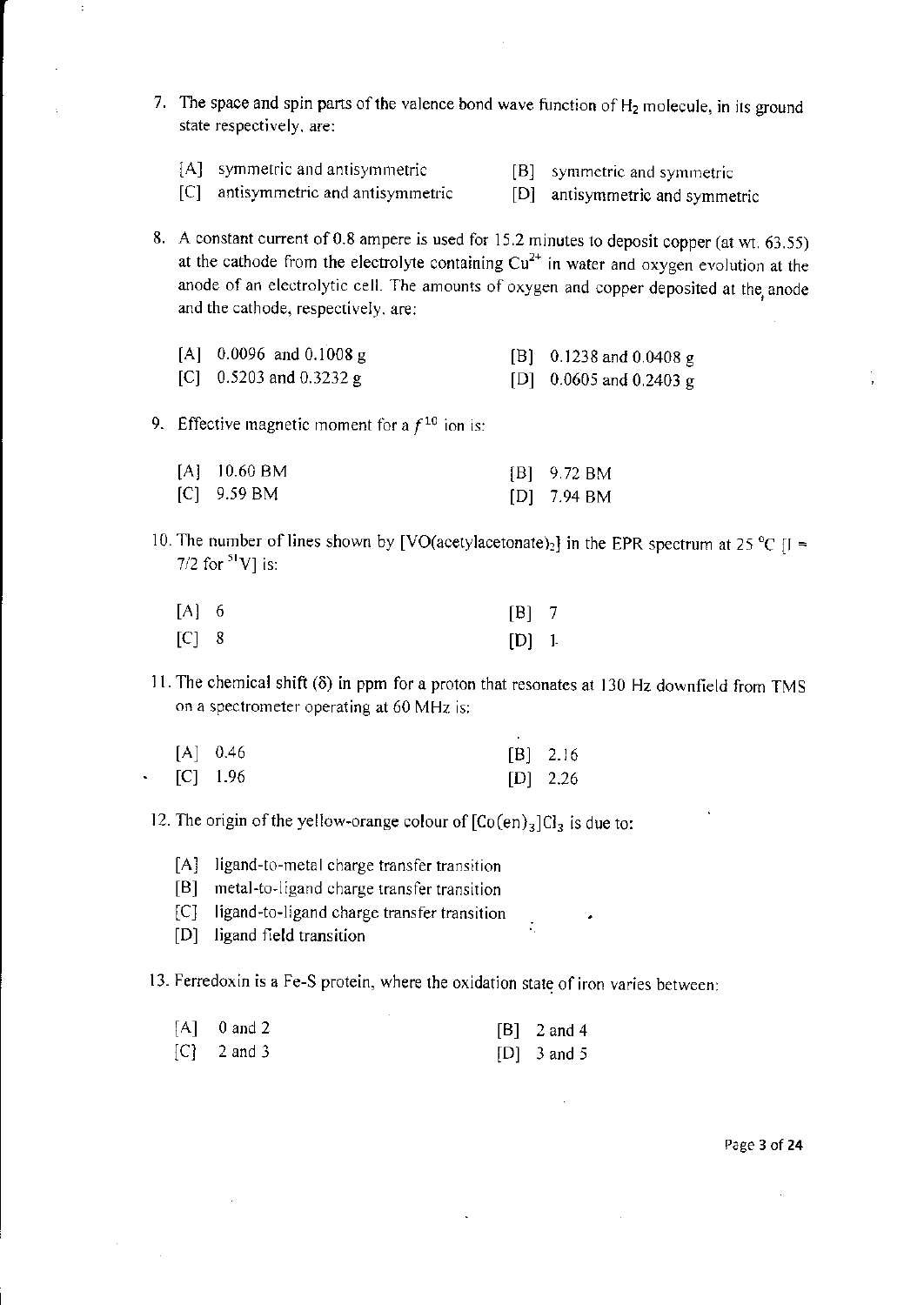- 7. The space and spin parts of the valence bond wave function of  $H_2$  molecule, in its ground state respectively. are:
	- [A] symmetric and antisymmetric [B] symmetric and symmetric [C] antisymmetric and antisymmetric [C] antisymmetric and symmetric
	-
- 
- [D] antisymmetric and symmetric
- 8. A constant current of 0.8 ampere is used for 15.2 minutes to deposit copper (at wt. 63.55) at the cathode from the electrolyte containing  $Cu^{2+}$  in water and oxygen evolution at the anode of an electrolytic cell. The amounts of oxygen and copper deposited at the anode and the cathode, respectively. are:

| [A] $0.0096$ and $0.1008$ g | [B] 0.1238 and 0.0408 g |
|-----------------------------|-------------------------|
| [C] 0.5203 and 0.3232 g     | [D] 0.0605 and 0.2403 g |

9. Effective magnetic moment for a  $f^{10}$  ion is:

| $[A]$ 10.60 BM | $[B]$ 9.72 BM         |
|----------------|-----------------------|
| $[C]$ 9.59 BM  | [D] $7.94 \text{ BM}$ |

10. The number of lines shown by [VO(acetylacetonate)<sub>2</sub>] in the EPR spectrum at 25 °C [I = The number of  $7/2$  for  $\frac{51}{3}$  V] is:

| $[A]$ 6 | $[B]$ 7 |  |
|---------|---------|--|
| $[C]$ 8 | $[D]$ 1 |  |

11. The chemical shift  $(\delta)$  in ppm for a proton that resonates at 130 Hz downfield from TMS on a spectrometer operating at 60 MHz is:

|  | $[A]$ 0.46       | $[B]$ 2.16 |
|--|------------------|------------|
|  | $\cdot$ [C] 1.96 | $[D]$ 2.26 |

- 12. The origin of the yellow-orange colour of  $[Co(en)_3]Cl_3$  is due to:
	- [A] ligand-to-metal charge transfer transition
	- [B] metal-to-ligand charge transfer transition
	- [C] ligand-to-ligand charge transfer transition .
	- [D] ligand field transition

13. Ferredoxin is a Fe-S protein, where the oxidation state of iron varies between:

| $[A]$ 0 and 2 | [B] $2$ and 4 |
|---------------|---------------|
| $[C]$ 2 and 3 | $[D]$ 3 and 5 |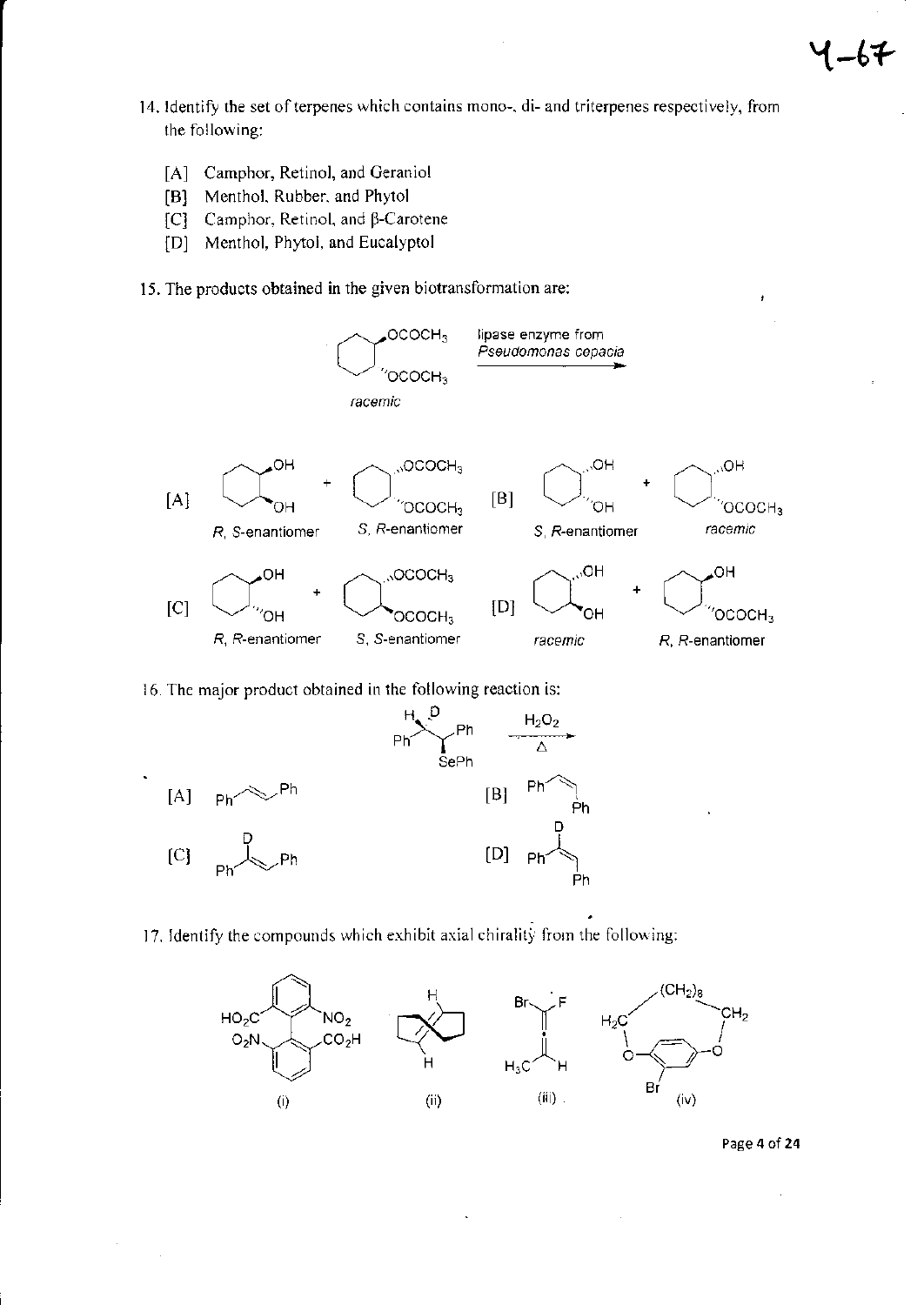- 14. Identify the set of terpenes which contains mono-, di- and triterpenes respectively, from the following:
	- [A] Camphor, Retinol, and Geraniol
	- Menthol, Rubber, and Phytol  $\mathbf{[B]}$
	- Camphor, Retinol, and β-Carotene  $|C|$
	- [D] Menthol, Phytol, and Eucalyptol
- 15. The products obtained in the given biotransformation are:



16. The major product obtained in the following reaction is:



17. Identify the compounds which exhibit axial chirality from the following:



Page 4 of 24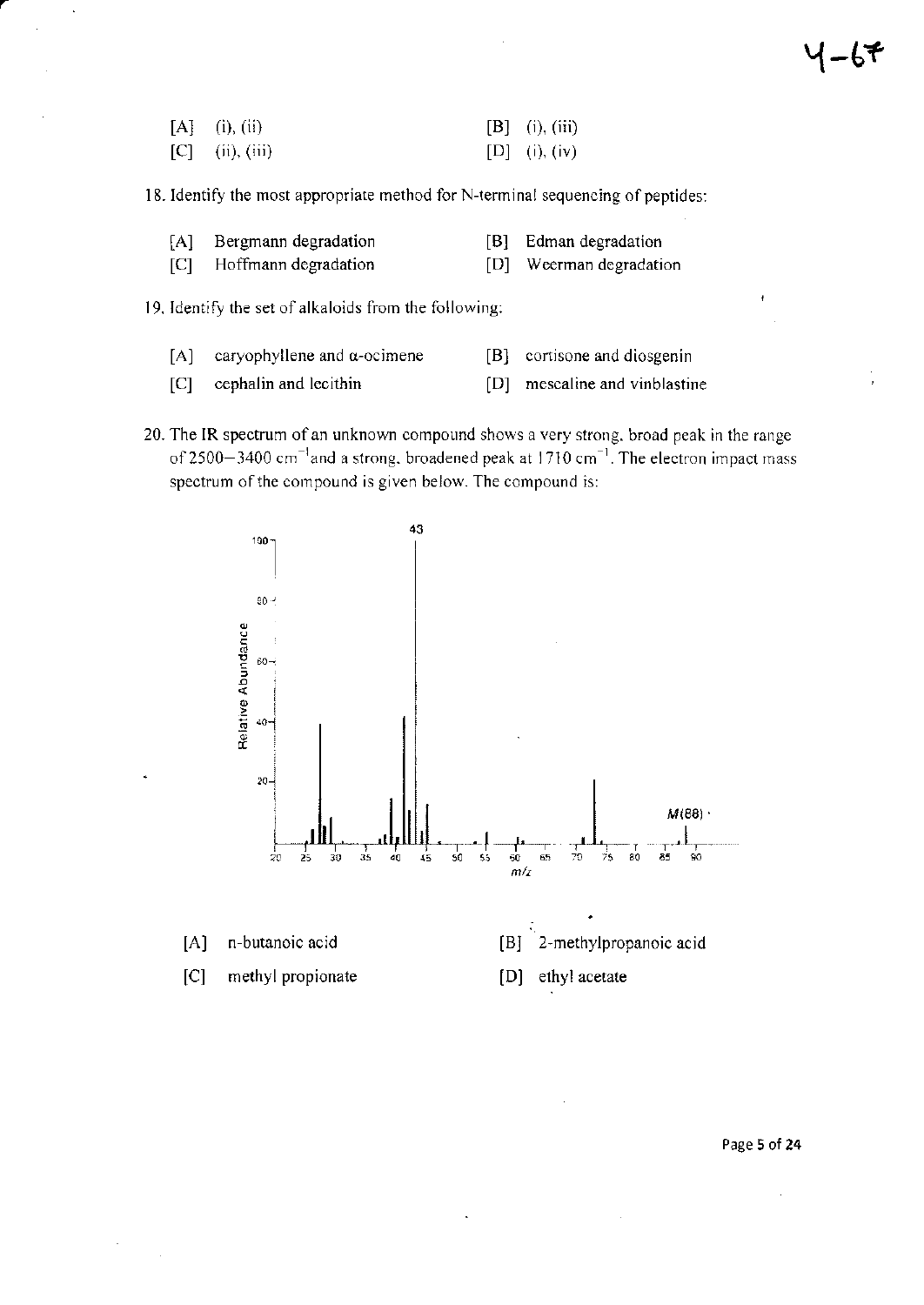| $[A]$ (i), (ii)   | [B] (i), (iii) |
|-------------------|----------------|
| $[C]$ (ii), (iii) | [D] (i), (iv)  |

18. Identify the most appropriate method for N-terminal sequencing of peptides:

| [A] Bergmann degradation | [B] Edman degradation   |
|--------------------------|-------------------------|
| [C] Hoffmann degradation | [D] Weerman degradation |

19. Identify the set of alkaloids from the following:

- $[A]$ caryophyllene and  $\alpha$ -ocimene
- $[B]$ cortisone and diosgenin
- $[C]$ cephalin and lecithin  $[D]$ mescaline and vinblastine
- 20. The IR spectrum of an unknown compound shows a very strong, broad peak in the range of 2500-3400  $cm^{-1}$  and a strong, broadened peak at 1710  $cm^{-1}$ . The electron impact mass spectrum of the compound is given below. The compound is:



Page 5 of 24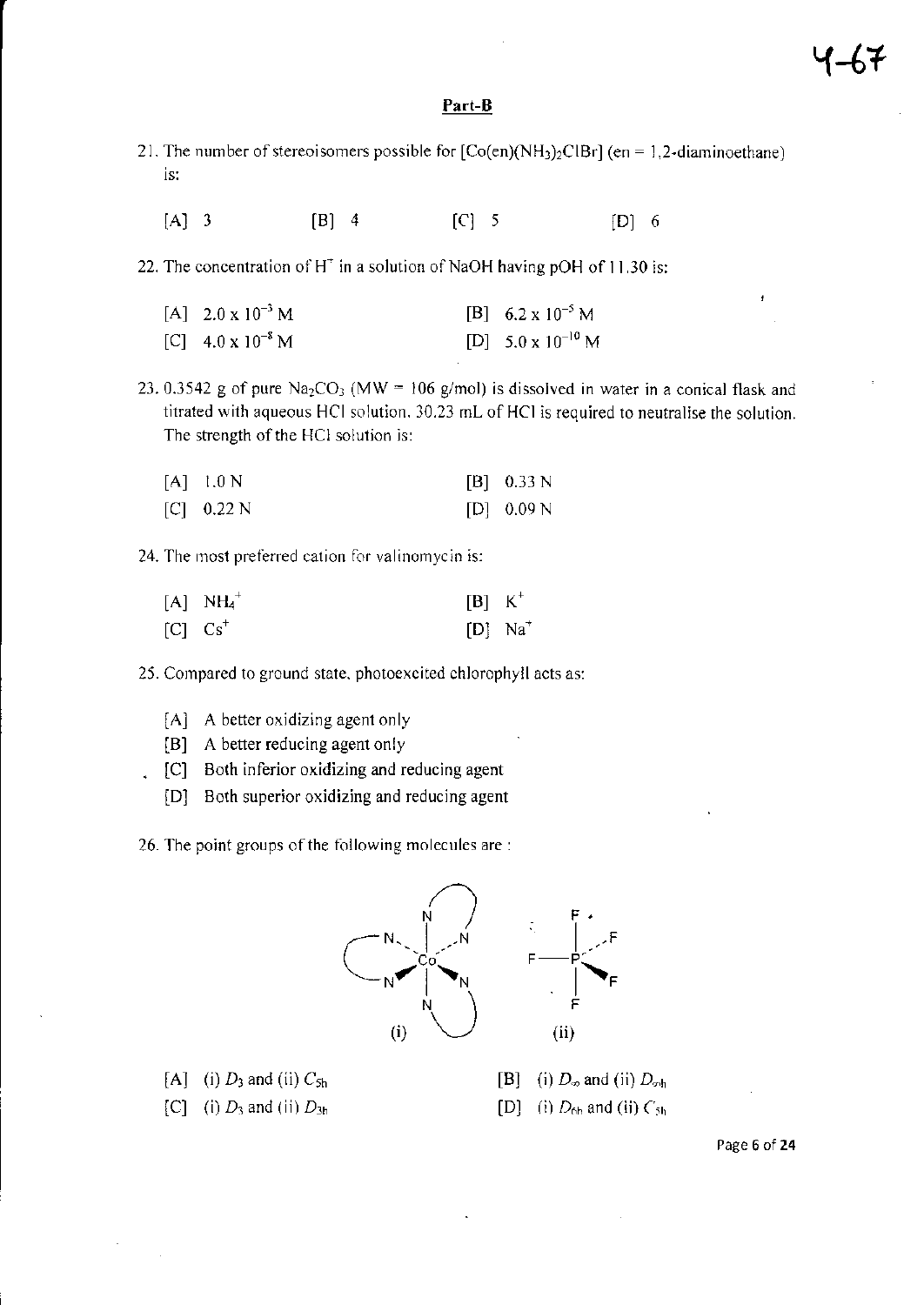### Part-B

- 21. The number of stereoisomers possible for  $[Co(en)(NH<sub>3</sub>)<sub>2</sub>ClBr]$  (en = 1.2-diaminoethane) is:
	- $[A]$  3  $[B]$  4  $[C]$  5  $[D]$  6
- 22. The concentration of H<sup>+</sup> in a solution of NaOH having pOH of 11.30 is:
	- $[A]$  2.0 x  $10^{-3}$  M  $\begin{bmatrix} C \end{bmatrix}$  4.0 x  $10^{-8}$  M [B] 6.2 x  $10^{-5}$  M [D]  $5.0 \times 10^{-10}$  M

23.0.3542 g of pure Na<sub>2</sub>CO<sub>3</sub> (MW = 106 g/mol) is dissolved in water in a conical flask and titrated with aqueous HCI solution. 10.23 mL of HCI is required to neutralise the solution. The strength of the HCl solution is:

| $[A]$ 1.0 N  | $[B]$ 0.33 N |
|--------------|--------------|
| [C] $0.22$ N | [D] 0.09 N   |

24. The most prelerred calion lor valinomycio is:

| $[A]$ $NH_4^+$ | $[B]$ K <sup>+</sup> |                       |
|----------------|----------------------|-----------------------|
| $[C]$ $Cs^+$   |                      | $[D]$ Na <sup>+</sup> |

25. Compared to ground state, photoexcited chlorophyll acts as:

- [A] A better oxidizing agent only
- [B] A better reducing agent only
- . [C] Both inferior oxidizing and reducing agent
	- lD] Both superior oxidizing and reducing agent

26. The point groups of the following molecules are :



- [A] (i)  $D_3$  and (ii)  $C_{5h}$
- $[C]$  (i)  $D_3$  and (ii)  $D_{3h}$
- [B] (i)  $D_{\infty}$  and (ii)  $D_{\infty h}$
- [D] (i)  $D_{6h}$  and (ii)  $C_{5h}$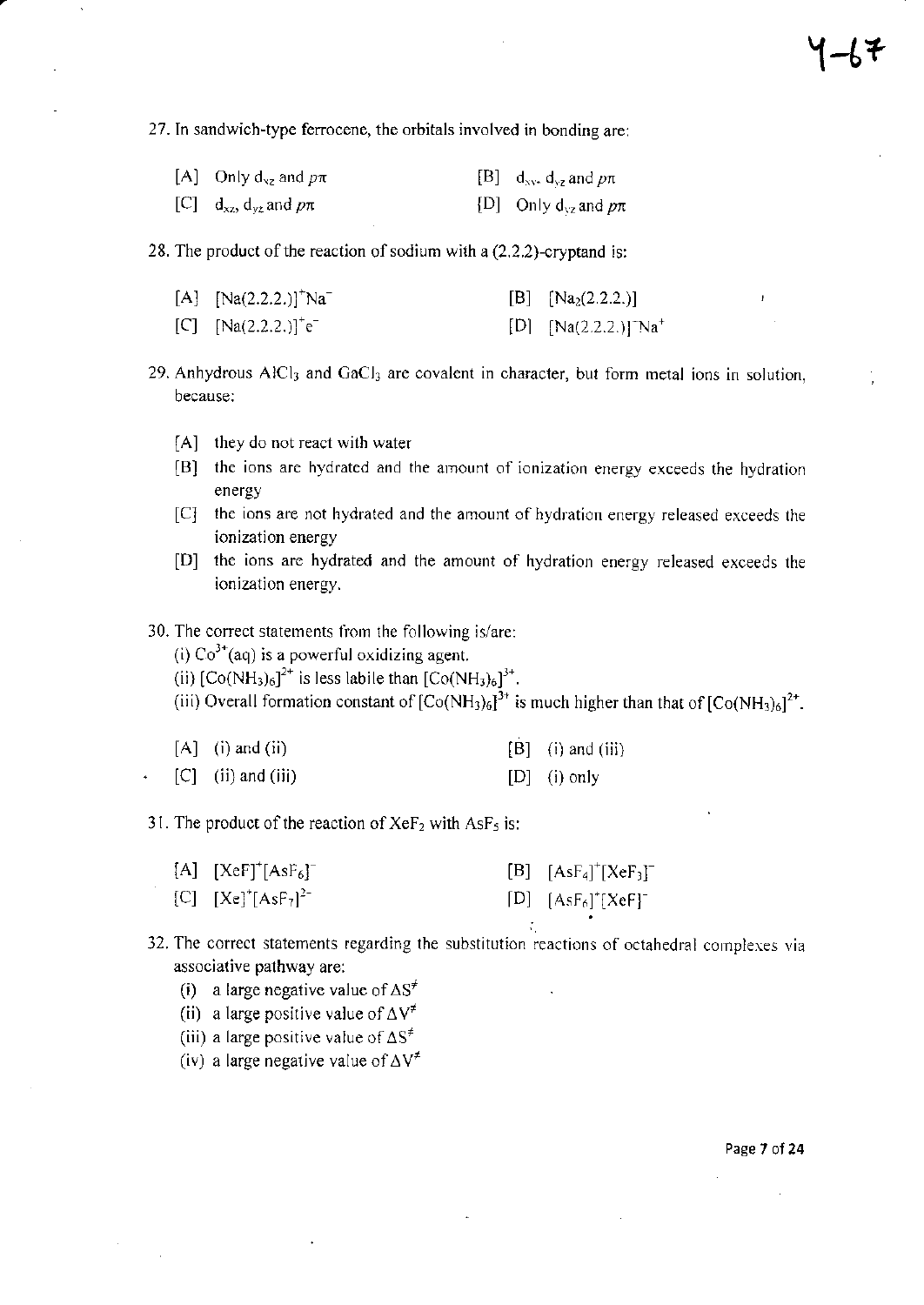27. In sandwich-type ferrocene, the orbitals involved in bonding are;

| [A] Only $d_{yz}$ and $p\pi$       | [B] $d_{xy}$ , $d_{yz}$ and $p\pi$ |
|------------------------------------|------------------------------------|
| [C] $d_{xz}$ , $d_{yz}$ and $p\pi$ | [D] Only $d_{vz}$ and $p\pi$       |

28. The product of the reaction of sodium with a  $(2.2.2)$ -cryptand is:

| [A] $[Na(2.2.2.)]^{+}Na^{-}$ | [B] $[Na_2(2.2.2.)]$         |
|------------------------------|------------------------------|
| [C] $[Na(2.2.2.)]^+e^-$      | [D] $[Na(2.2.2.)]^{T}Na^{+}$ |

29. Anhydrous  $A/CI_3$  and  $GaCl_3$  are covalent in character, but form metal ions in solution, because:

- [A] they do not react with water
- [B] the ions are hydrated and the amount of ionization energy exceeds the hydration energy
- [C] the ions are not hydrated and the amount of hydration energy released exceeds the ionization energy
- [D] the ions are hydrated and the amount of hydration energy released exceeds the ionization energy.
- 30. The correct statements from the following is/are:

(i)  $Co<sup>3+</sup>(aq)$  is a powerful oxidizing agent.

(ii)  $[Co(NH_3)_6]^{2^+}$  is less labile than  $[Co(NH_3)_6]^{3^+}$ .

(iii) Overall formation constant of  $[Co(NH_3)_6]^{3+}$  is much higher than that of  $[Co(NH_3)_6]^{2+}$ .

| $[A]$ (i) and (ii) |  | $[B]$ (i) and (iii) |
|--------------------|--|---------------------|
|--------------------|--|---------------------|

 $[C]$  (ii) and (iii)  $[D]$  (i) only

31. The product of the reaction of  $XeF_2$  with AsF<sub>5</sub> is:

| $[A]$ $[XeF]$ <sup>+</sup> $[AsF_6]^-$ | [B] $[AsF4]+[XeF3]-$                 |
|----------------------------------------|--------------------------------------|
| [C] $[Xe]^{\dagger} [AsF_7]^{2-}$      | $[D]$ $[AsF6]*$ $[XeF]$ <sup>-</sup> |

32. The correct statements regarding the substitution reactions of octahedral complexes via associative pathway are:

- (i) a large negative value of  $\Delta S^{\neq}$
- (ii) a large positive value of  $\Delta V^{\neq}$
- (iii) a large positive value of  $\Delta S^{\neq}$

(iv) a large negative value of  $\Delta V^{\neq}$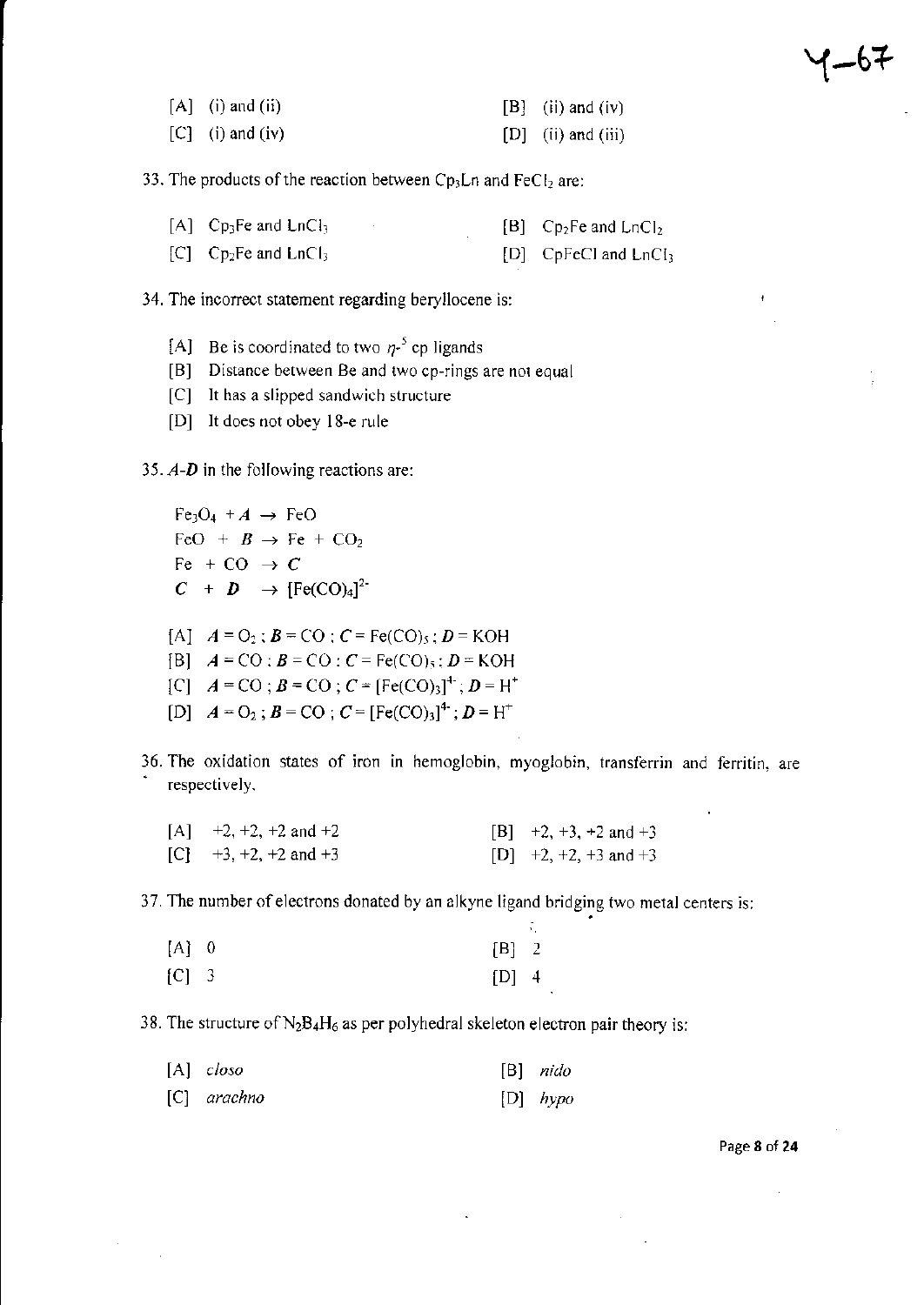| $[A]$ (i) and (ii) | $[B]$ (ii) and (iv)  |
|--------------------|----------------------|
| $[C]$ (i) and (iv) | $[D]$ (ii) and (iii) |

33. The products of the reaction between Cp<sub>3</sub>Ln and FeC $l_2$  are:

| $[A]$ Cp <sub>3</sub> Fe and LnCl <sub>3</sub> |  | $[B]$ Cp <sub>2</sub> Fe and LnCl <sub>2</sub> |
|------------------------------------------------|--|------------------------------------------------|
| $[C]$ Cp <sub>2</sub> Fe and LnCl <sub>3</sub> |  | $[D]$ CpFeCl and LnCl <sub>3</sub>             |

34. The incorrect statement regarding beryllocene is:

- [A] Be is coordinated to two  $\eta$ -<sup>5</sup> cp ligands
- [B] Distance between Be and two cp-rings are not equal
- [C] It has a slipped sandwich structure
- [D] It does not obey l8-e rule

35.  $A-D$  in the following reactions are:

 $Fe<sub>3</sub>O<sub>4</sub> + A \rightarrow FeO$ FeO +  $\mathbf{B} \rightarrow \text{Fe} + \text{CO}_2$ Fe + CO  $\rightarrow$  C  $C + D \rightarrow [Fe(CO)<sub>4</sub>]<sup>2</sup>$ [A],  $A = O_2$ ;  $B = CO$ ;  $C = Fe(CO)_5$ ;  $D = KOH$ [B],  $A = CO$ ;  $B = CO$ ;  $C = Fe(CO)$ ,  $D = KOH$  $[C]$  ,  $A = CO$ ;  $B = CO$ ;  $C = [Fe(CO)<sub>3</sub>]<sup>+</sup>$ ;  $D = H<sup>+</sup>$ 

[D]  $A = O_2$ ;  $B = CO$ ;  $C = [Fe(CO)_3]^4$ ;  $D = H^+$ 

36. The oxidation states of iron in hemoglobin, myoglobin, transferrin and ferritin, are respectively.

| $[A]$ +2, +2, +2 and +2 | $[B]$ +2, +3, +2 and +3 |
|-------------------------|-------------------------|
| $[C]$ +3, +2, +2 and +3 | $[D]$ +2, +2, +3 and +3 |

37. The number of electrons donated by an alkyne ligand bridging two metal centers is:

| $[A]$ 0 | $[B]$ 2 |  |
|---------|---------|--|
| $[C]$ 3 | $[D]$ 4 |  |

38. The structure of  $N_2B_4H_6$  as per polyhedral skeleton electron pair theory is:

| $[A]$ closo   | $[B]$ nido |
|---------------|------------|
| $[C]$ arachno | $[D]$ hypo |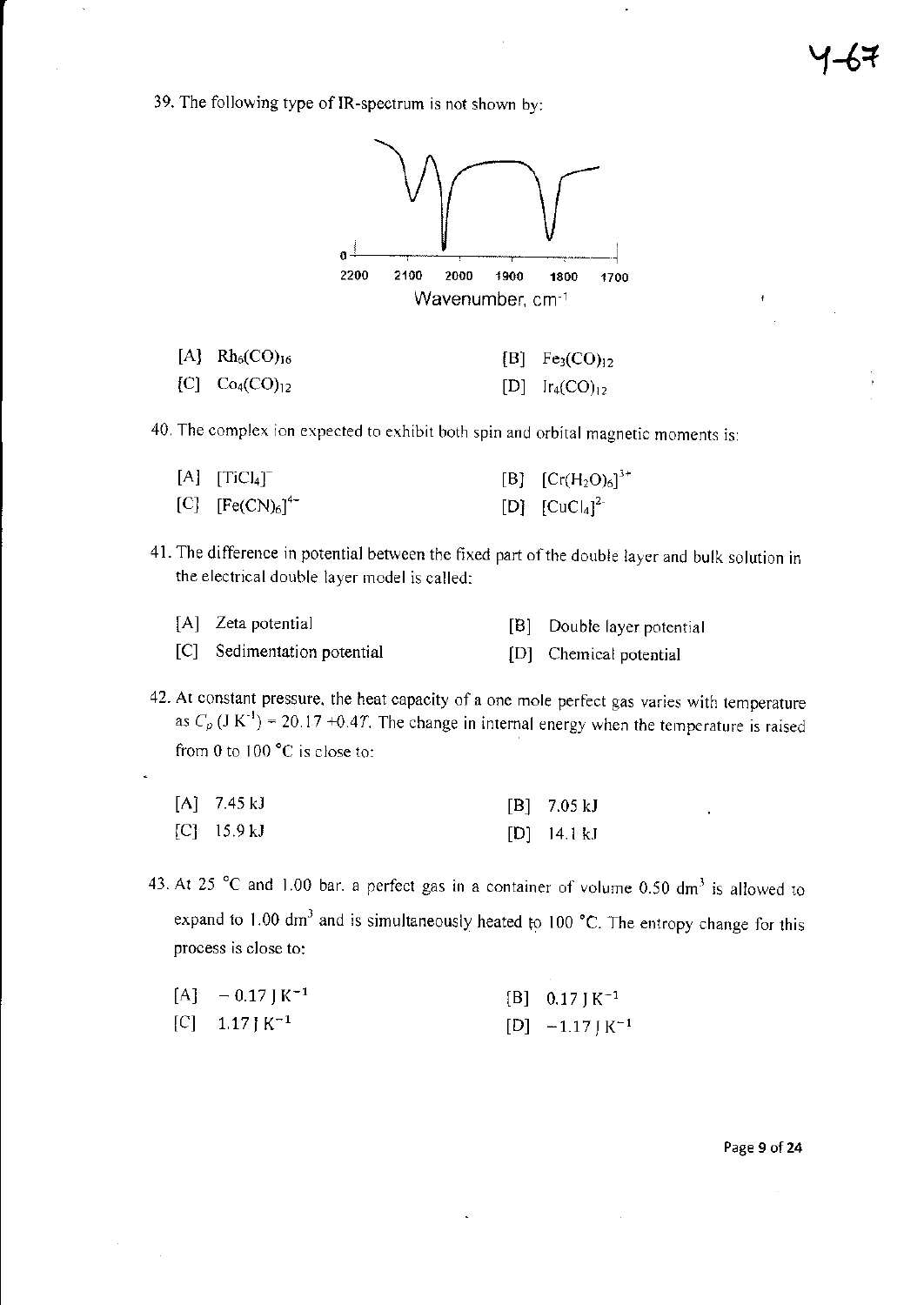39. The following type of IR-spectrum is not shown by:



| [A] $Rh_6(CO)_{16}$   | [B] $Fe3(CO)12$     |
|-----------------------|---------------------|
| $[C]$ $Co_4(CO)_{12}$ | [D] $Ir_4(CO)_{12}$ |

40. The complex ion expected to exhibit both spin and orbital magnetic moments is:

| $[A]$ $[TiCl4$ <sup>-</sup> | [B] $[Cr(H2O)6]3+$ |
|-----------------------------|--------------------|
| [C] $[Fe(CN)_6]^{4-}$       | [D] $[CuCl4]^{2-}$ |

41. The difference in potential between the fixed part of the double layer and bulk solution in the electrical double layer model is called:

| [A] Zeta potential          | [B] Double layer potential |
|-----------------------------|----------------------------|
| [C] Sedimentation potential | [D] Chemical potential     |

42. At constant pressure, the heat capacity of a one mole perfect gas varies with temperature as  $C_p$  (J K<sup>-1</sup>) = 20.17 +0.47. The change in internal energy when the temperature is raised from 0 to 100 $^{\circ}$ C is close to:

| $[A]$ 7.45 kJ | $[B]$ 7.05 kJ |
|---------------|---------------|
| $[C]$ 15.9 kJ | $[D]$ 14.1 kJ |

43. At 25  $^{\circ}$ C and 1.00 bar. a perfect gas in a container of volume 0.50 dm<sup>3</sup> is allowed to expand to 1.00 dm<sup>3</sup> and is simultaneously heated to 100 °C. The entropy change for this process is close to:

| $[A]$ - 0.17 J K <sup>-1</sup> | $[B]$ 0.17 J K <sup>-1</sup> |
|--------------------------------|------------------------------|
| [C] $1.17$ J K <sup>-1</sup>   | $[D] -1.17 \, K^{-1}$        |

Page 9 of 24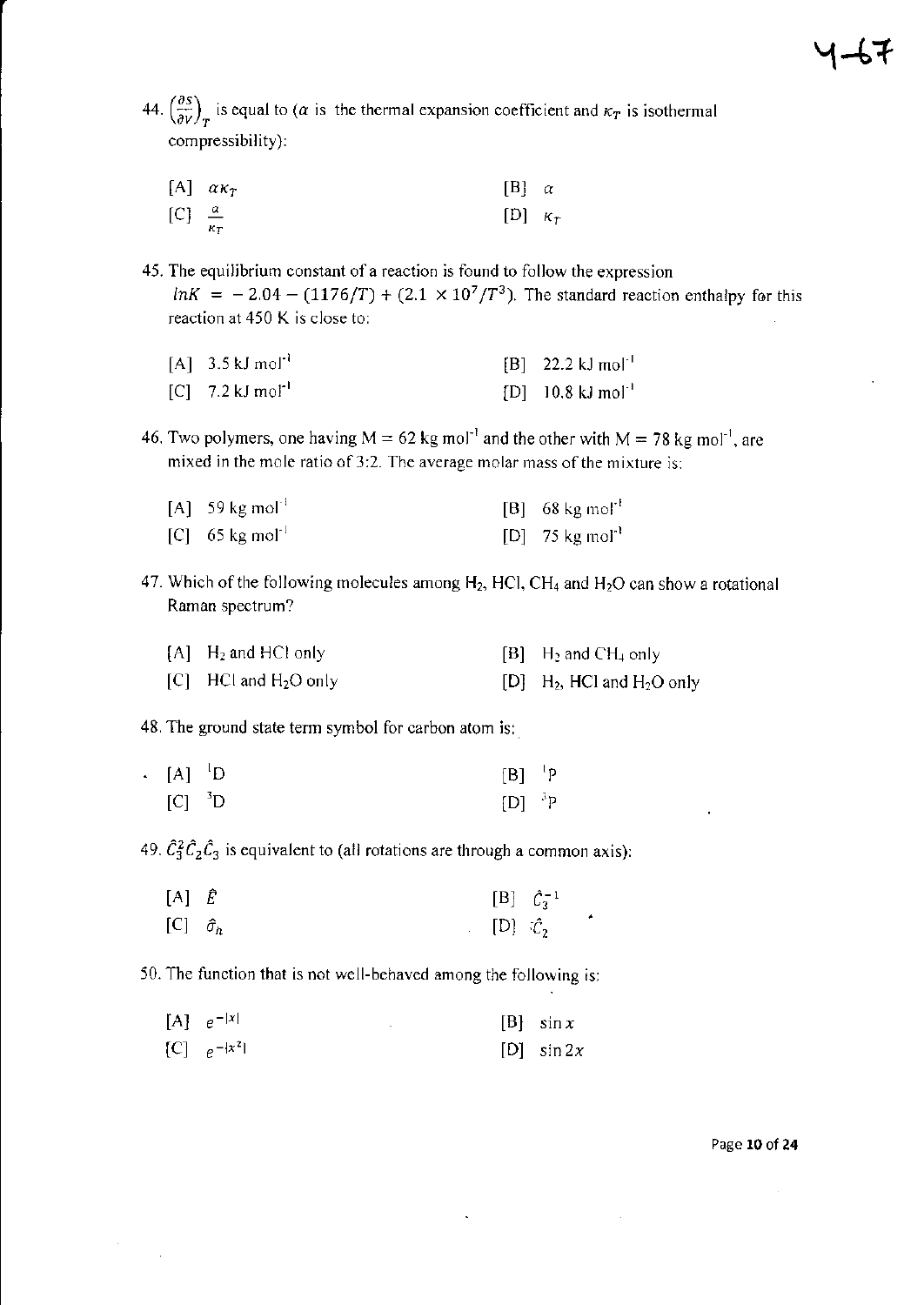44.  $\left(\frac{\partial S}{\partial V}\right)_T$  is equal to ( $\alpha$  is the thermal expansion coefficient and  $\kappa_T$  is isothermal compressibility):

|                          | [A] $\alpha \kappa_T$ | $[B]$ $\alpha$ |  |
|--------------------------|-----------------------|----------------|--|
| $[C] \frac{\alpha}{\pi}$ |                       | [D] $\kappa_T$ |  |

45. The equilibrium constant of a reaction is found to follow the expression  $lnK = -2.04 - (1176/T) + (2.1 \times 10^7/T^3)$ . The standard reaction enthalpy for this reaction at  $450$  K is close to:

| $[A]$ 3.5 kJ mol <sup>-1</sup> | $[B]$ 22.2 kJ mol <sup>-1</sup> |
|--------------------------------|---------------------------------|
| $[C]$ 7.2 kJ mol <sup>-1</sup> | $[D]$ 10.8 kJ mol <sup>-1</sup> |

46. Two polymers, one having  $M = 62$  kg mol<sup>-1</sup> and the other with  $M = 78$  kg mol<sup>-1</sup>, are mixed in the mole ratio of  $3:2$ . The average molar mass of the mixture is:

| [A] 59 kg mol <sup>-t</sup> | [B] 68 kg mol <sup>-1</sup> |
|-----------------------------|-----------------------------|
| [C] 65 kg mol <sup>-1</sup> | [D] 75 kg mol <sup>-1</sup> |

47. Which of the following molecules among  $H_2$ , HCl, CH<sub>4</sub> and H<sub>2</sub>O can show a rotational Raman spectrum?

| $[A]$ H <sub>2</sub> and HCl only | $[B]$ H <sub>2</sub> and CH <sub>4</sub> only        |
|-----------------------------------|------------------------------------------------------|
| $[C]$ HCl and $H_2O$ only         | $[D]$ H <sub>2</sub> , HCl and H <sub>2</sub> O only |

48. The ground state term symbol for carbon atom is:

| $\cdot$ [A] $^{1}D$  | $\begin{bmatrix} B \end{bmatrix}$ $\begin{bmatrix} P \end{bmatrix}$ |  |
|----------------------|---------------------------------------------------------------------|--|
| $[C]$ <sup>3</sup> D | $[D]$ <sup>3</sup> P                                                |  |

49.  $\hat{C}_3^2 \hat{C}_2 \hat{C}_3$  is equivalent to (all rotations are through a common axis):

| $[A]$ $\hat{E}$      |                 | [B] $\hat{C}_3^{-1}$ |  |
|----------------------|-----------------|----------------------|--|
| [C] $\hat{\sigma}_h$ | $[D] \hat{c}_2$ |                      |  |

50. The function that is not well-behaved among the following is:

| $[A]$ $e^{- x }$ |  | $[B]$ sin x  |
|------------------|--|--------------|
| [C] $e^{- x^2 }$ |  | $[D]$ sin 2x |

Pase 10 of 24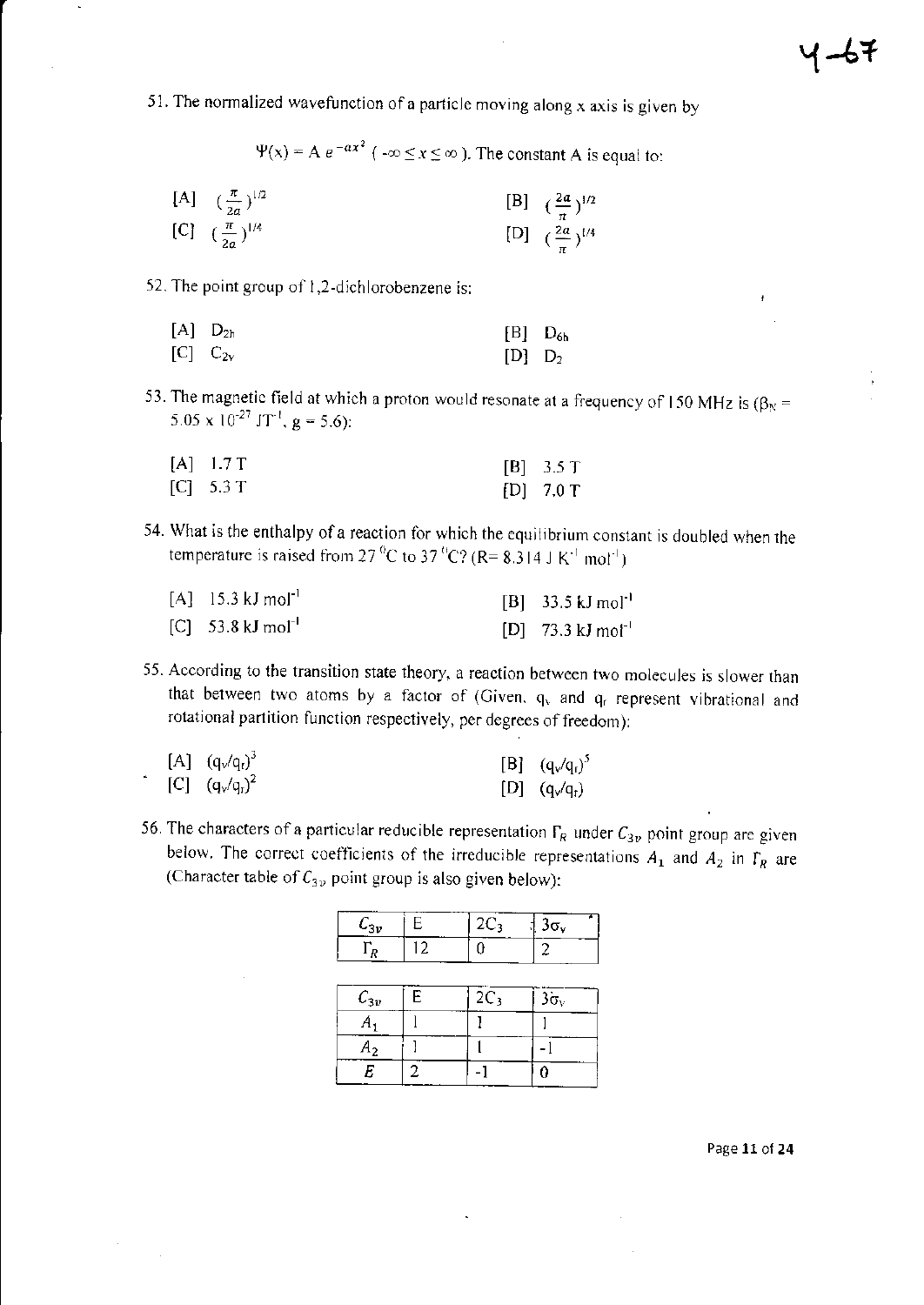51. The normalized wavefunction of a particle moving along x axis is given by

 $\Psi(x) = A e^{-ax^2}$  ( $-\infty \le x \le \infty$ ). The constant A is equal to:

[A]  $(\frac{\pi}{2a})^{1/2}$ [B]  $\left(\frac{2a}{\pi}\right)^{1/2}$ <br>[D]  $\left(\frac{2a}{\pi}\right)^{1/4}$ [C]  $(\frac{\pi}{2a})^{1/4}$ 

52. The point group of 1,2-dichlorobenzene is:

| $[A]$ $D_{2h}$ | $[B]$ $D_{6h}$ |  |
|----------------|----------------|--|
| $[C]$ $C_{2v}$ | $[D]$ $D2$     |  |

53. The magnetic field at which a proton would resonate at a frequency of 150 MHz is  $(\beta_N =$ 5.05 x  $10^{-27}$  JT<sup>-1</sup>, g = 5.6):

| $[A]$ 1.7 T | $[B]$ 3.5 T |
|-------------|-------------|
| [C] 5.3 T   | $[D]$ 7.0 T |

54. What is the enthalpy of a reaction for which the equilibrium constant is doubled when the temperature is raised from 27<sup>°</sup>C to 37<sup>°</sup>C? (R= 8.314 J K<sup>-1</sup> mol<sup>-1</sup>)

| $[A]$ 15.3 kJ mol <sup>-1</sup> | $[B]$ 33.5 kJ mol <sup>-1</sup> |
|---------------------------------|---------------------------------|
| $[C]$ 53.8 kJ mol <sup>-1</sup> | $[D]$ 73.3 kJ mot <sup>-1</sup> |

55. According to the transition state theory, a reaction between two molecules is slower than that between two atoms by a factor of (Given,  $q_v$  and  $q_f$  represent vibrational and rotational partition function respectively, per degrees of freedom):

| $[A] (q_v/q_t)^3$ | $[B] (q_v/q_v)^5$ |
|-------------------|-------------------|
| [C] $(q_v/q_r)^2$ | $[D] (q_v/q_r)$   |

56. The characters of a particular reducible representation  $\Gamma_R$  under  $C_{3\nu}$  point group are given below. The correct coefficients of the irreducible representations  $A_1$  and  $A_2$  in  $\Gamma_R$  are (Character table of  $C_{3\nu}$  point group is also given below):

| $C_{3v}$       | Е  | $2C_3$ | 3σ <sub>v</sub> |
|----------------|----|--------|-----------------|
| $\Gamma_R$     | 12 |        |                 |
|                |    |        |                 |
| $C_{3v}$       | E  | $2C_3$ | $3\sigma_v$     |
| $A_1$          |    |        |                 |
| A <sub>2</sub> |    |        |                 |
| Е              | 7  |        |                 |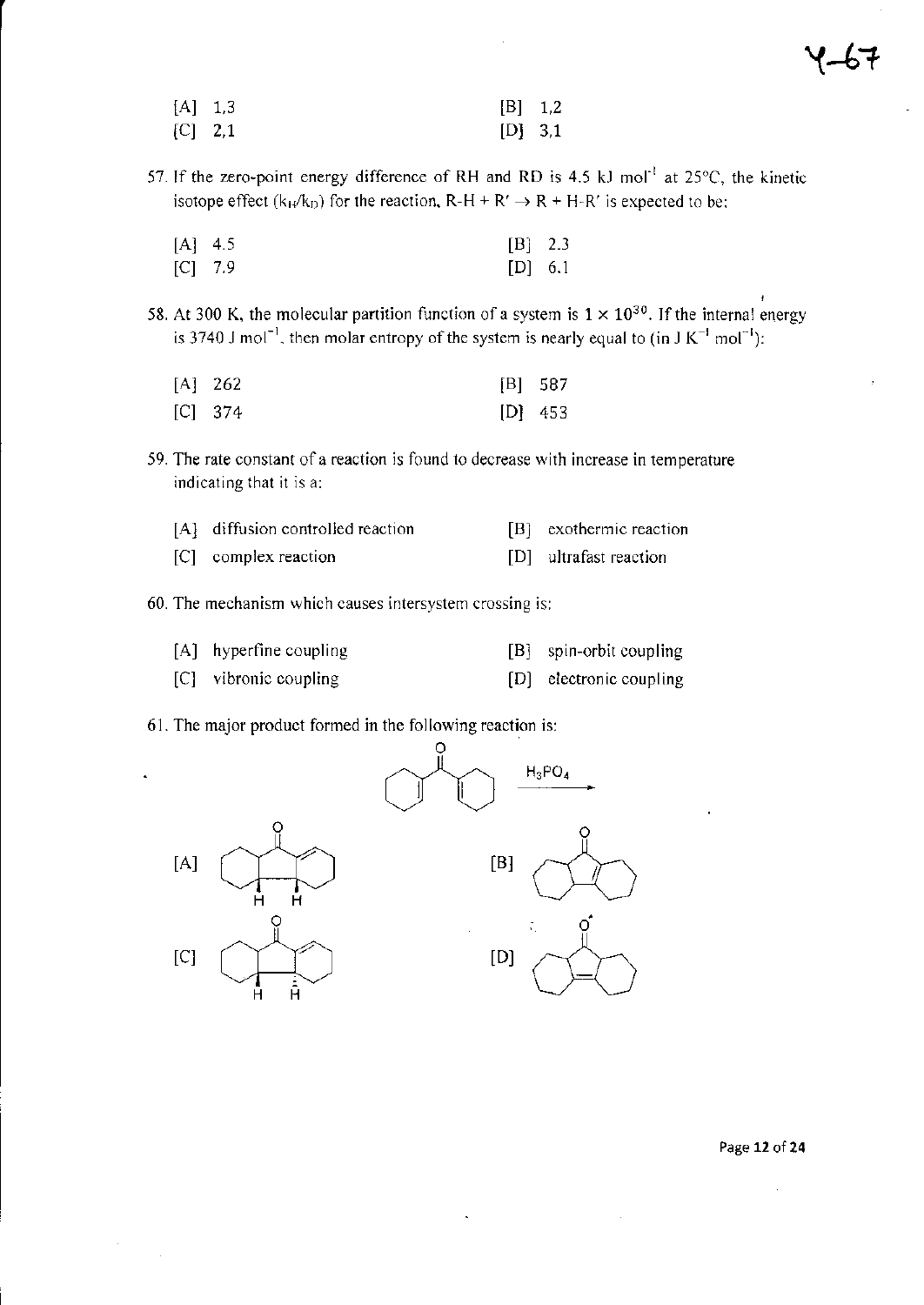| $[A]$ 1.3 | [B] 1,2   |  |
|-----------|-----------|--|
| $[C]$ 2,1 | $[D]$ 3,1 |  |

57. If the zero-point energy difference of RH and RD is 4.5 kJ mol<sup>-1</sup> at  $25^{\circ}$ C, the kinetic isotope effect  $(k_H/k_D)$  for the reaction,  $R-H + R' \rightarrow R + H-R'$  is expected to be;

| $[A]$ 4.5 | $[B]$ 2.3 |  |
|-----------|-----------|--|
| $[C]$ 7.9 | $[D]$ 6.1 |  |

58. At 300 K, the molecular partition function of a system is  $1 \times 10^{30}$ . If the internal energy is 3740 J mol<sup>-1</sup>, then molar entropy of the system is nearly equal to (in J K<sup>-1</sup> mol<sup>-1</sup>):

| $[A]$ 262 | [B] 587   |
|-----------|-----------|
| $[C]$ 374 | $[D]$ 453 |

59. The rate constant of a reaction is found to decrease with increase in temperature indicating that it is a:

| [A] diffusion controlled reaction | [B] exothermic reaction |
|-----------------------------------|-------------------------|
| [C] complex reaction              | [D] ultrafast reaction  |

- 
- 60. The mechanism which causes intersystem crossing is:
	- [A] hyperfine coupling [B] spin-orbit coupling
	- [C] vibronic coupling [D] electronic coupling
- 61. The major product formed in the following reaction is:



Page 12 of 24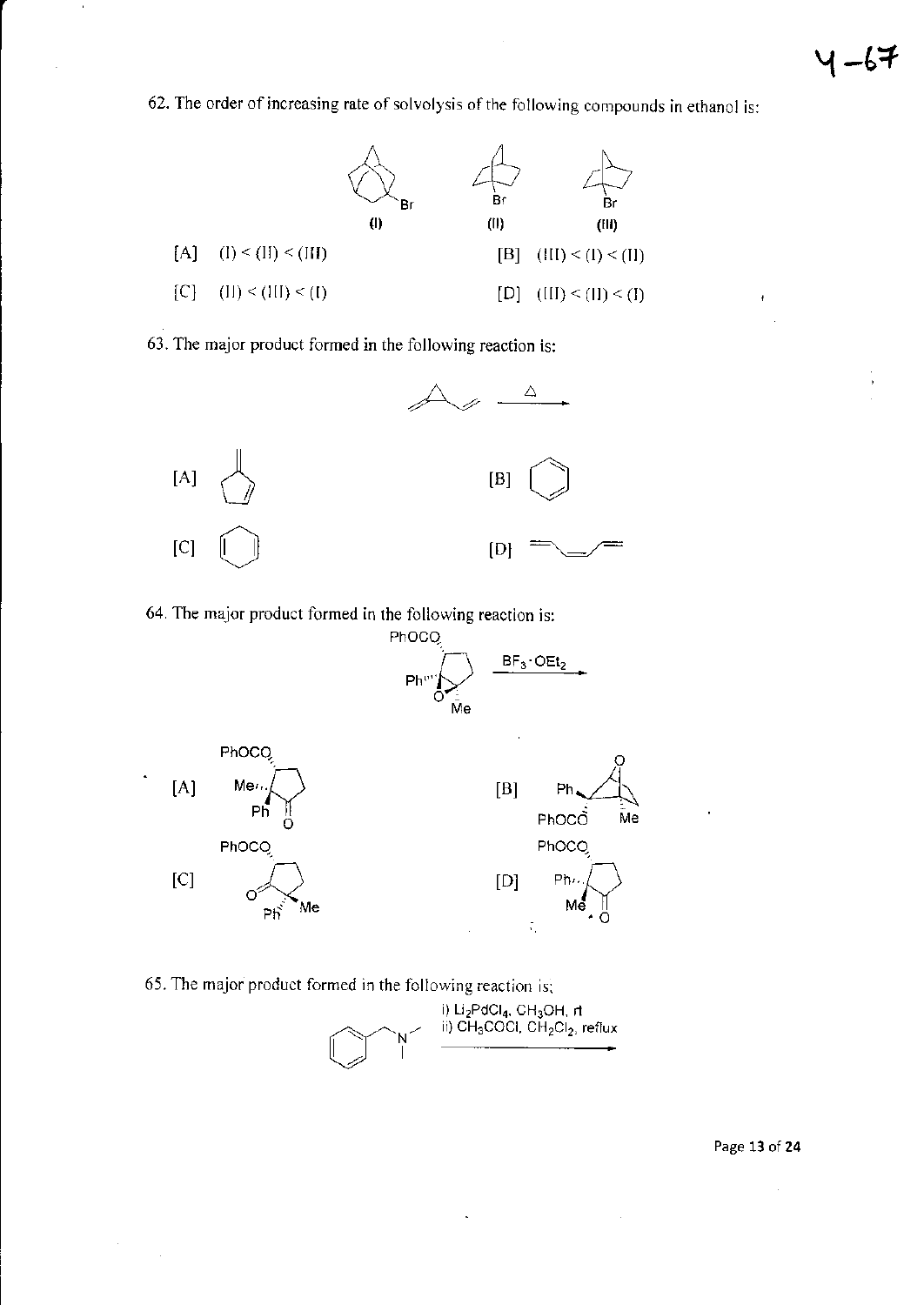ł

62. The order of increasing rate of solvolysis of the following compounds in ethanol is:



63. The major product formed in the following reaction is:



64. The major product formed in the following reaction is:



65. The major product formed in the following reaction is: i) Li<sub>2</sub>PdCl<sub>4</sub>, CH<sub>3</sub>OH, rt<br>ii) CH<sub>3</sub>COCl, CH<sub>2</sub>Cl<sub>2</sub>, reflux

l,

Page 13 of 24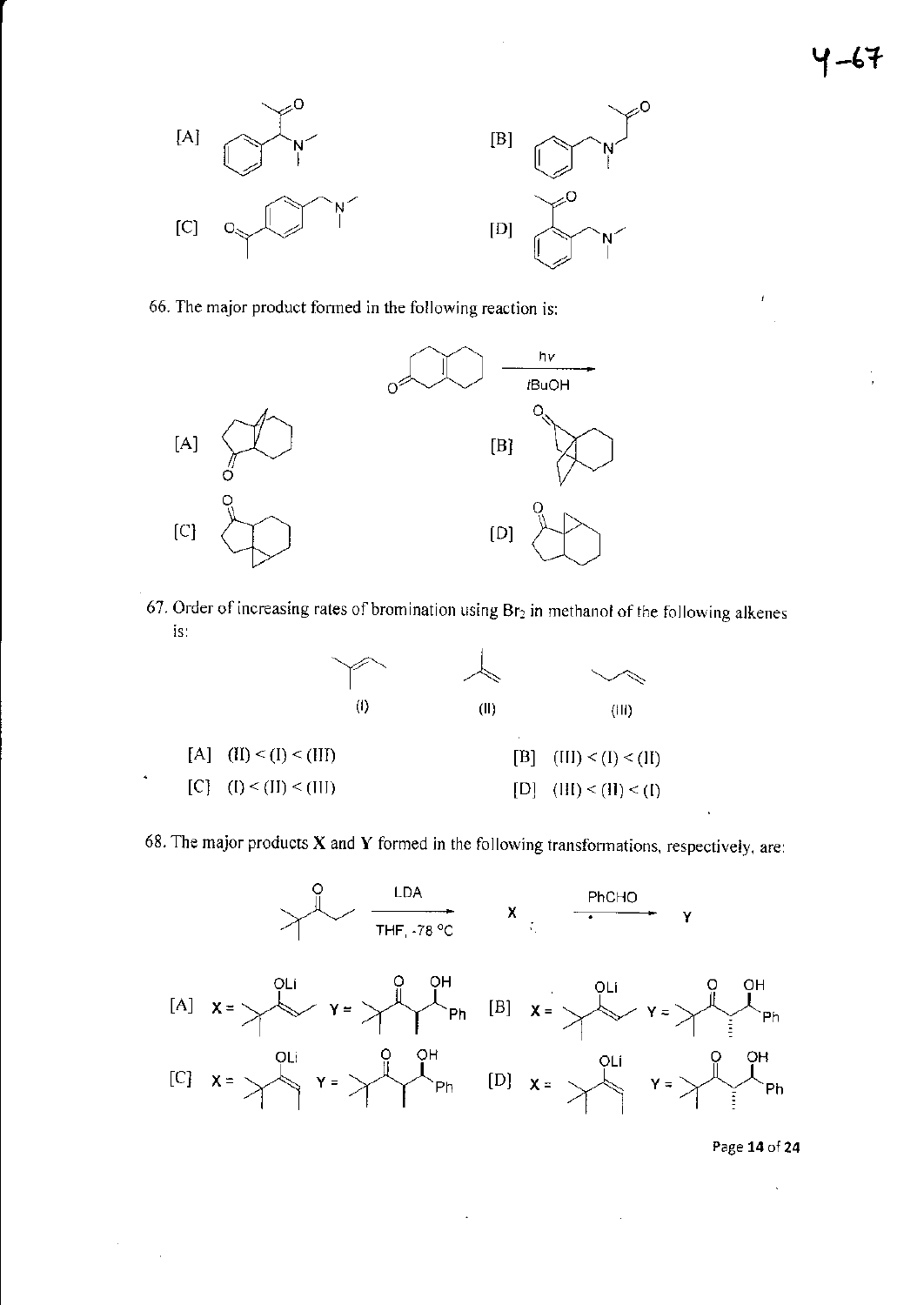

66. The major product formed in the following reaction is:



67. Order of increasing rates of bromination using Br<sub>2</sub> in methanol of the following alkenes is.



68. The major products  $X$  and  $Y$  formed in the following transformations, respectively, are:



Page 14 of 24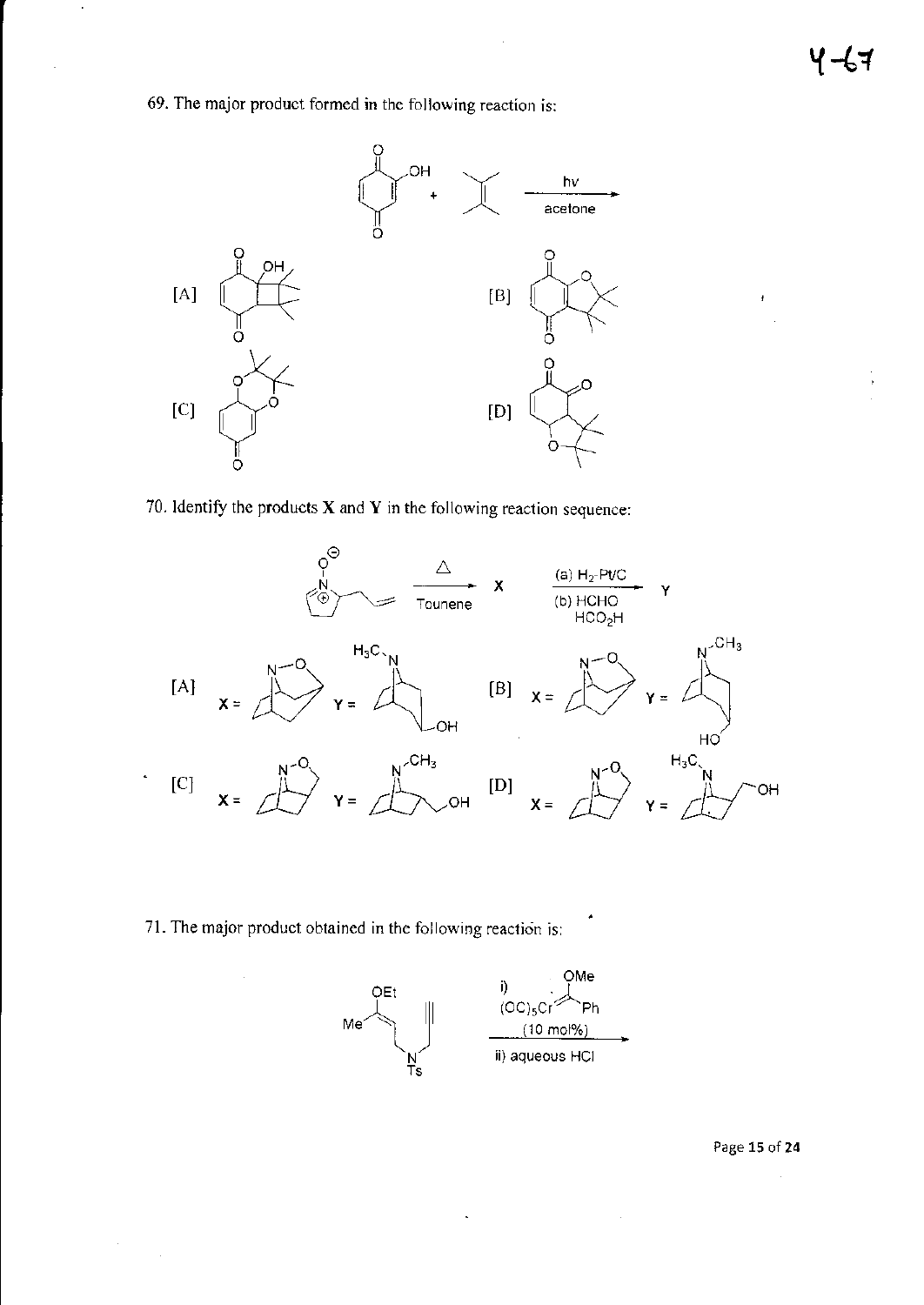69. The major product formed in the following reaction is:



70. Identify the products  $X$  and  $Y$  in the following reaction sequence:



71. The major product obtained in the following reaction is:



Page 15 of 24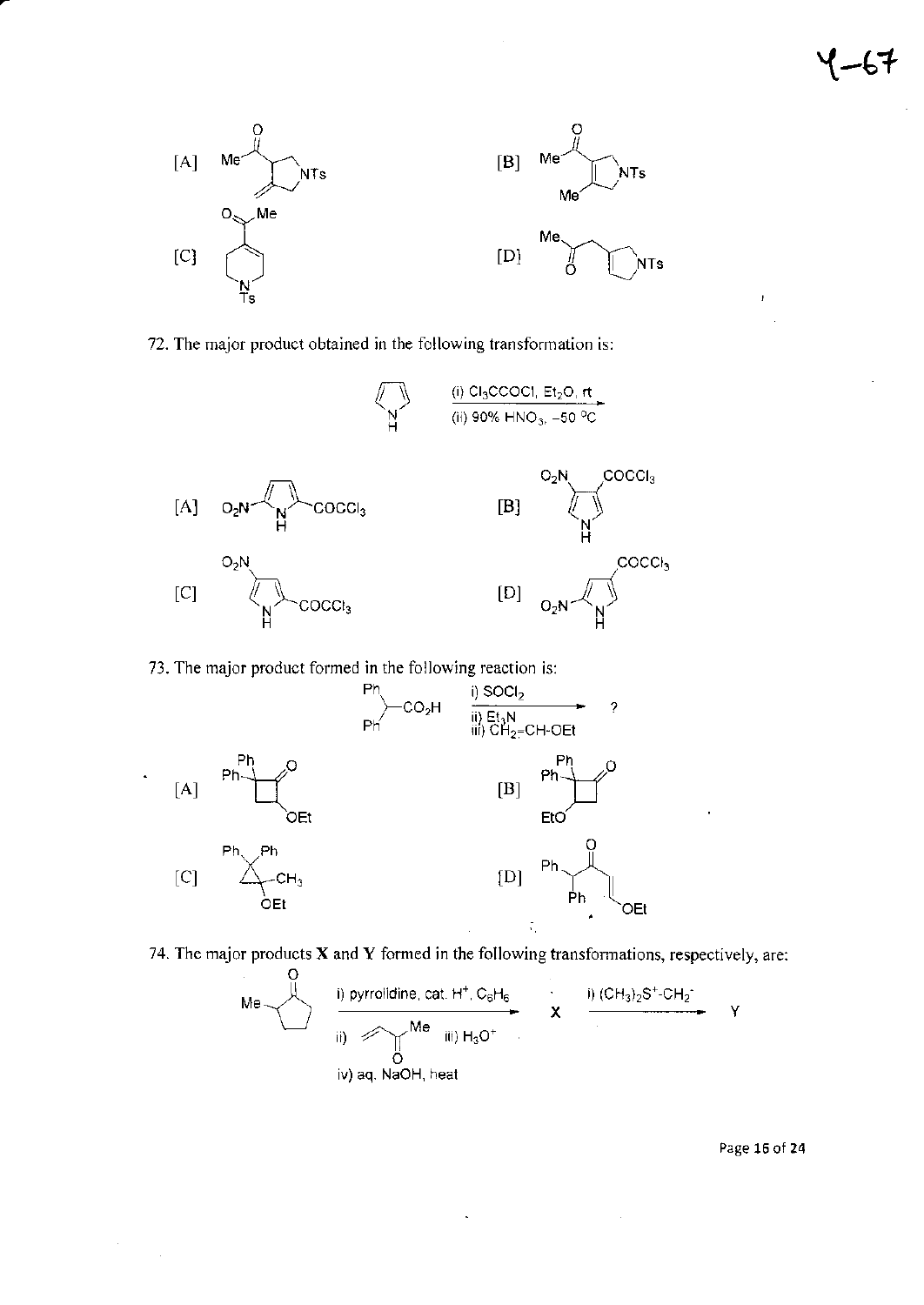$\pmb{l}$ 



72. The major product obtained in the following transformation is:



73. The major product formed in the following reaction is:

÷.



74. The major products  $X$  and  $Y$  formed in the following transformations, respectively, are:

 $\hat{\mathcal{A}}$ 

 $\bar{\gamma}$ 

| 0                   | i) pyrrolidine, cat. H <sup>+</sup> , C <sub>6</sub> H <sub>6</sub> | ii) (CH <sub>3</sub> 2S <sup>+</sup> -CH <sub>2</sub> |                                                       |   |
|---------------------|---------------------------------------------------------------------|-------------------------------------------------------|-------------------------------------------------------|---|
| ii) $\bigotimes$ Me | iii) H <sub>3</sub> O <sup>+</sup>                                  | X                                                     | ii) (CH <sub>3</sub> 2S <sup>+</sup> -CH <sub>2</sub> | Y |
| iv) aq, NaOH, heat  |                                                                     |                                                       |                                                       |   |

Page 16 of 24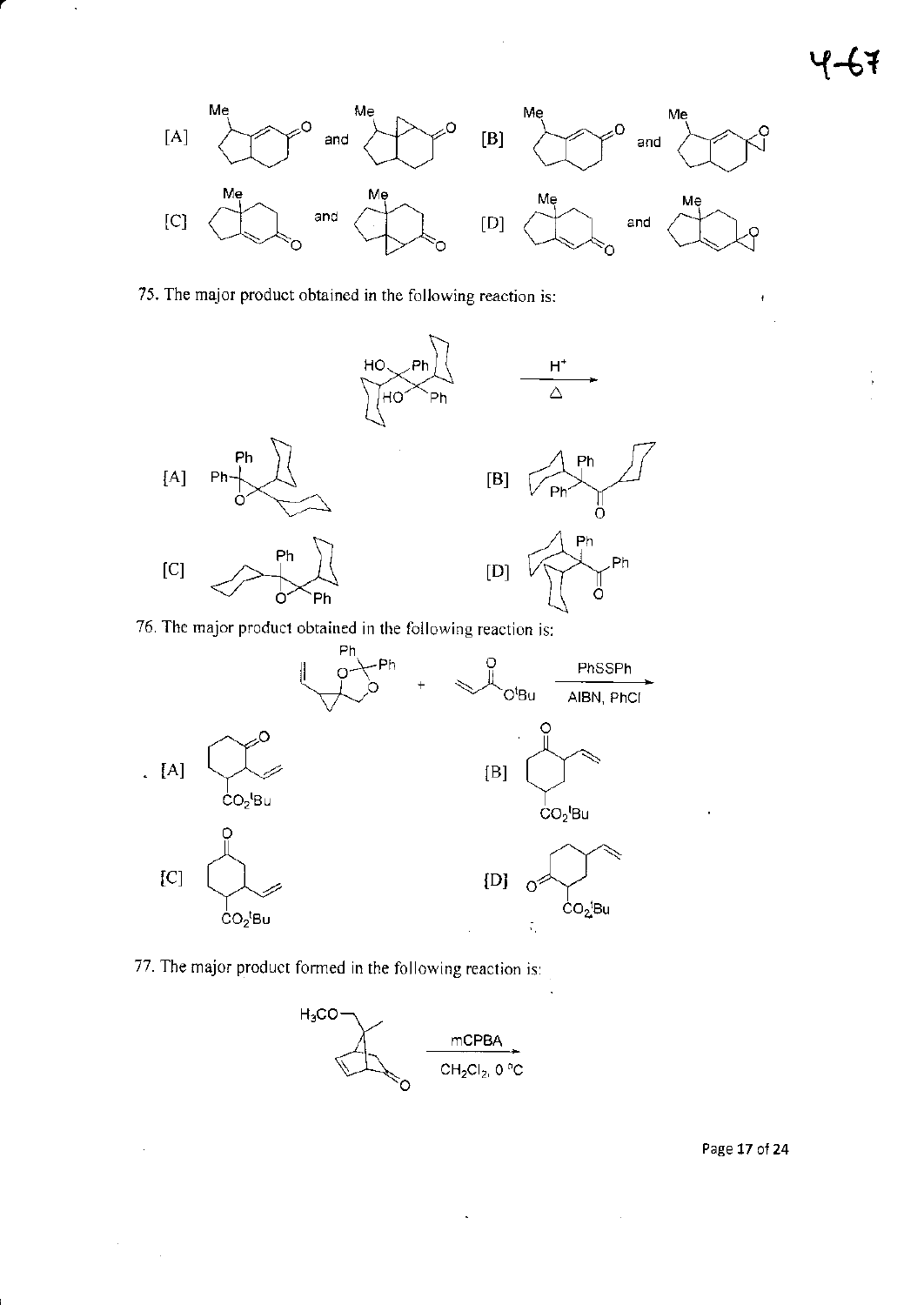$\overline{1}$ 



## 75. The major product obtained in the following reaction is:

ŀ,



76. The major product obtained in the following reaction is:



77. The major product formed in the following reaction is:



 $\hat{\mathcal{A}}$ 

Page 17 of 24

 $\bar{\beta}$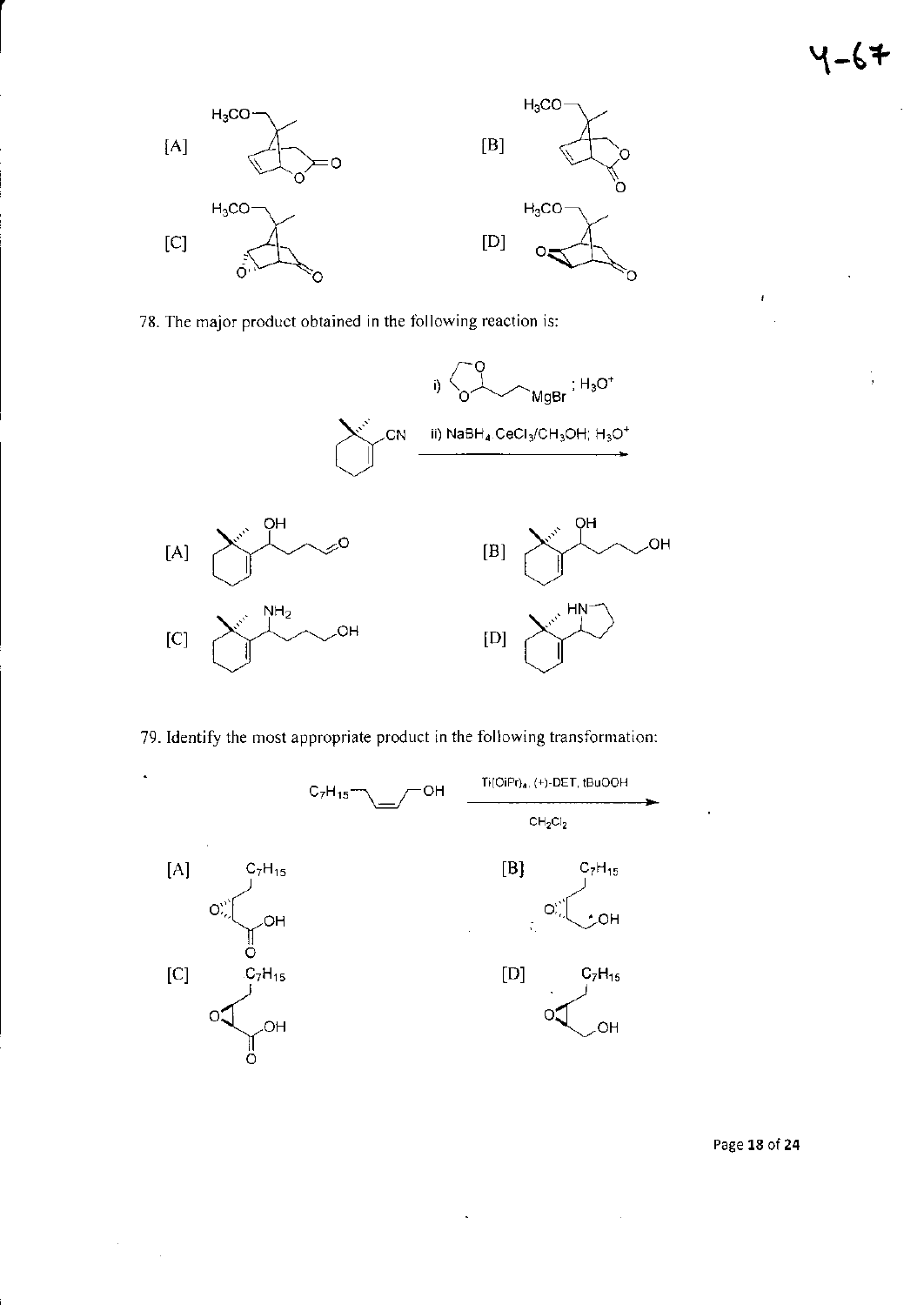$\frac{1}{3}$ 

ł



78. The major product obtained in the following reaction is:



79. Identify the most appropriate product in the following transformation:



 $\bar{\mathcal{A}}$ 

Page 18 of 24

 $\bar{z}$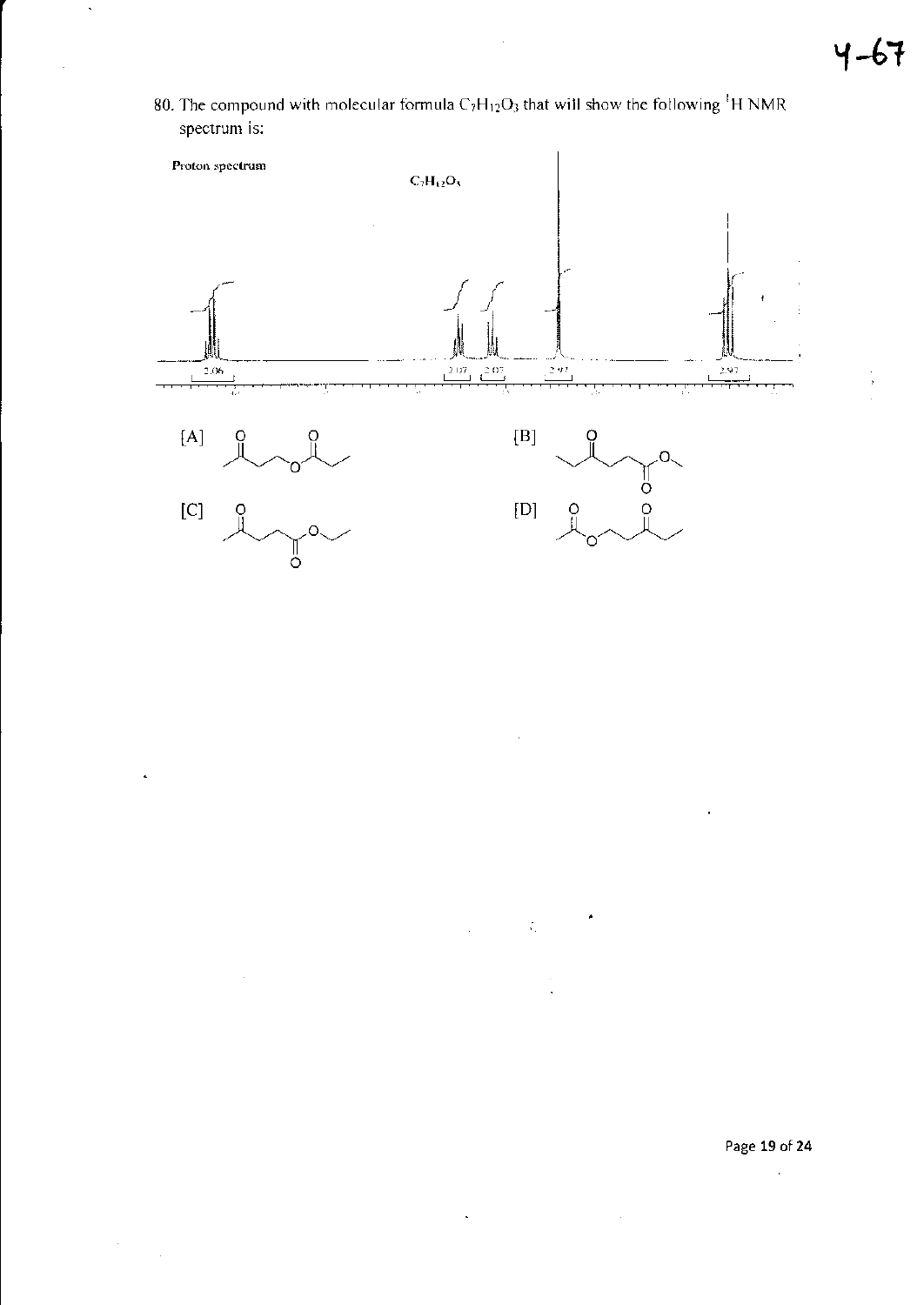80. The compound with molecular formula  $C_7H_{12}O_3$  that will show the following <sup>1</sup>H NMR spectrum is:



 $\ddot{\phi}$ 

 $\bar{z}$ 

 $\mathbb{R}^2$ 

 $\ddot{\phantom{1}}$ 

Page 19 of 24  $\bar{z}$